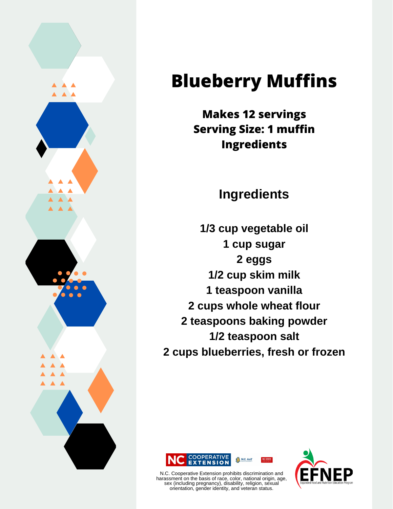

## **Blueberry Muffins**

**Makes 12 servings Serving Size: 1 muffin Ingredients**

**Ingredients**

**1/3 cup vegetable oil 1 cup sugar 2 eggs 1/2 cup skim milk 1 teaspoon vanilla 2 cups whole wheat flour 2 teaspoons baking powder 1/2 teaspoon salt 2 cups blueberries, fresh or frozen**





N.C. Cooperative Extension prohibits discrimination and harassment on the basis of race, color, national origin, age, sex (including pregnancy), disability, religion, sexual orientation, gender identity, and veteran status.